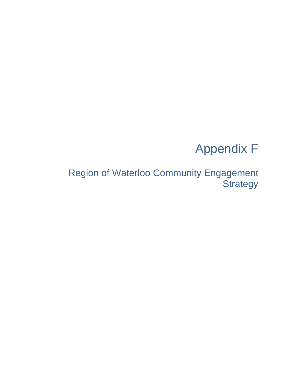# Appendix F

Region of Waterloo Community Engagement **Strategy**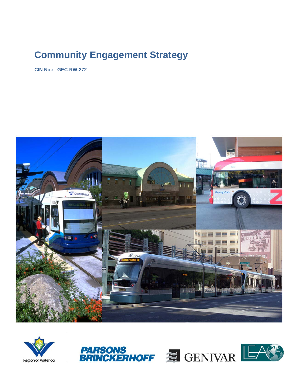## **Community Engagement Strategy**

**CIN No.: GEC-RW-272** 





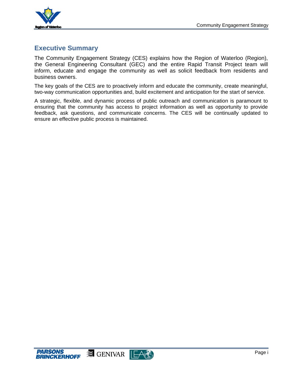

## **Executive Summary**

The Community Engagement Strategy (CES) explains how the Region of Waterloo (Region), the General Engineering Consultant (GEC) and the entire Rapid Transit Project team will inform, educate and engage the community as well as solicit feedback from residents and business owners.

The key goals of the CES are to proactively inform and educate the community, create meaningful, two-way communication opportunities and, build excitement and anticipation for the start of service.

A strategic, flexible, and dynamic process of public outreach and communication is paramount to ensuring that the community has access to project information as well as opportunity to provide feedback, ask questions, and communicate concerns. The CES will be continually updated to ensure an effective public process is maintained.



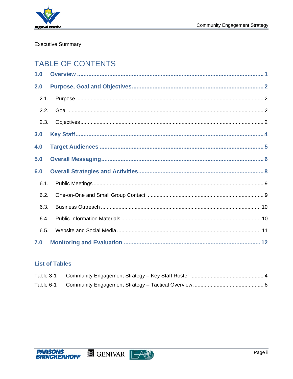

## **Executive Summary**

## **TABLE OF CONTENTS**

| 1.0  |  |
|------|--|
| 2.0  |  |
| 2.1. |  |
| 2.2. |  |
| 2.3. |  |
| 3.0  |  |
| 4.0  |  |
| 5.0  |  |
| 6.0  |  |
| 6.1. |  |
| 6.2. |  |
| 6.3. |  |
| 6.4. |  |
| 6.5. |  |
| 7.0  |  |

## **List of Tables**

| Table 3-1 |  |
|-----------|--|
| Table 6-1 |  |

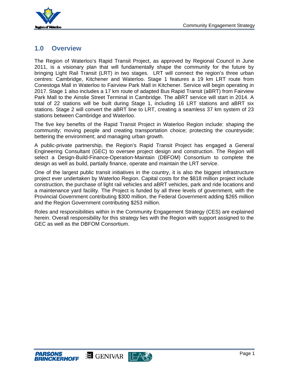

## **1.0 Overview**

The Region of Waterloo's Rapid Transit Project, as approved by Regional Council in June 2011, is a visionary plan that will fundamentally shape the community for the future by bringing Light Rail Transit (LRT) in two stages. LRT will connect the region's three urban centres: Cambridge, Kitchener and Waterloo. Stage 1 features a 19 km LRT route from Conestoga Mall in Waterloo to Fairview Park Mall in Kitchener. Service will begin operating in 2017. Stage 1 also includes a 17 km route of adapted Bus Rapid Transit (aBRT) from Fairview Park Mall to the Ainslie Street Terminal in Cambridge. The aBRT service will start in 2014. A total of 22 stations will be built during Stage 1, including 16 LRT stations and aBRT six stations. Stage 2 will convert the aBRT line to LRT, creating a seamless 37 km system of 23 stations between Cambridge and Waterloo.

The five key benefits of the Rapid Transit Project in Waterloo Region include: shaping the community; moving people and creating transportation choice; protecting the countryside; bettering the environment; and managing urban growth.

A public-private partnership, the Region's Rapid Transit Project has engaged a General Engineering Consultant (GEC) to oversee project design and construction. The Region will select a Design-Build-Finance-Operation-Maintain (DBFOM) Consortium to complete the design as well as build, partially finance, operate and maintain the LRT service.

One of the largest public transit initiatives in the country, it is also the biggest infrastructure project ever undertaken by Waterloo Region. Capital costs for the \$818 million project include construction, the purchase of light rail vehicles and aBRT vehicles, park and ride locations and a maintenance yard facility. The Project is funded by all three levels of government, with the Provincial Government contributing \$300 million, the Federal Government adding \$265 million and the Region Government contributing \$253 million.

Roles and responsibilities within in the Community Engagement Strategy (CES) are explained herein. Overall responsibility for this strategy lies with the Region with support assigned to the GEC as well as the DBFOM Consortium.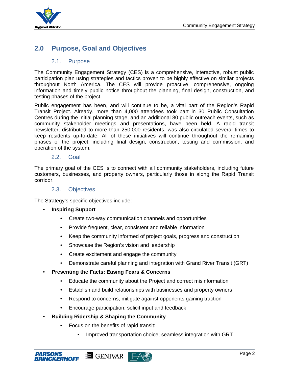

## **2.0 Purpose, Goal and Objectives**

## 2.1. Purpose

The Community Engagement Strategy (CES) is a comprehensive, interactive, robust public participation plan using strategies and tactics proven to be highly effective on similar projects throughout North America. The CES will provide proactive, comprehensive, ongoing information and timely public notice throughout the planning, final design, construction, and testing phases of the project.

Public engagement has been, and will continue to be, a vital part of the Region's Rapid Transit Project. Already, more than 4,000 attendees took part in 30 Public Consultation Centres during the initial planning stage, and an additional 80 public outreach events, such as community stakeholder meetings and presentations, have been held. A rapid transit newsletter, distributed to more than 250,000 residents, was also circulated several times to keep residents up-to-date. All of these initiatives will continue throughout the remaining phases of the project, including final design, construction, testing and commission, and operation of the system.

## 2.2. Goal

The primary goal of the CES is to connect with all community stakeholders, including future customers, businesses, and property owners, particularly those in along the Rapid Transit corridor.

#### 2.3. Objectives

The Strategy's specific objectives include:

- **Inspiring Support**
	- Create two-way communication channels and opportunities
	- Provide frequent, clear, consistent and reliable information
	- Keep the community informed of project goals, progress and construction
	- Showcase the Region's vision and leadership
	- Create excitement and engage the community
	- Demonstrate careful planning and integration with Grand River Transit (GRT)
- **Presenting the Facts: Easing Fears & Concerns**
	- Educate the community about the Project and correct misinformation
	- Establish and build relationships with businesses and property owners
	- Respond to concerns; mitigate against opponents gaining traction
	- Encourage participation; solicit input and feedback
- **Building Ridership & Shaping the Community**
	- Focus on the benefits of rapid transit:
		- Improved transportation choice; seamless integration with GRT

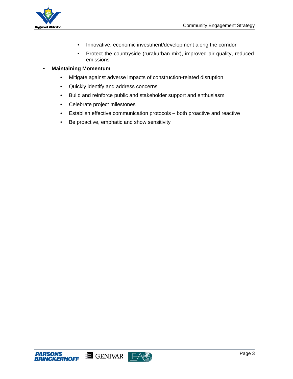

- Innovative, economic investment/development along the corridor
- Protect the countryside (rural/urban mix), improved air quality, reduced emissions

#### • **Maintaining Momentum**

- Mitigate against adverse impacts of construction-related disruption
- Quickly identify and address concerns
- Build and reinforce public and stakeholder support and enthusiasm
- Celebrate project milestones
- Establish effective communication protocols both proactive and reactive
- Be proactive, emphatic and show sensitivity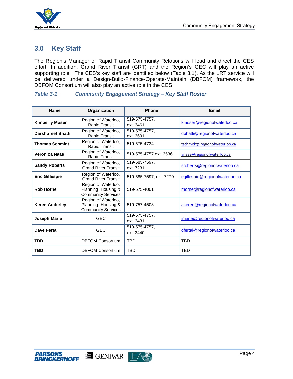

## **3.0 Key Staff**

The Region's Manager of Rapid Transit Community Relations will lead and direct the CES effort. In addition, Grand River Transit (GRT) and the Region's GEC will play an active supporting role. The CES's key staff are identified below (Table 3.1). As the LRT service will be delivered under a Design-Build-Finance-Operate-Maintain (DBFOM) framework, the DBFOM Consortium will also play an active role in the CES.

| <b>Name</b>              | Organization                                                            | <b>Phone</b>               | <b>Email</b>                   |
|--------------------------|-------------------------------------------------------------------------|----------------------------|--------------------------------|
| <b>Kimberly Moser</b>    | Region of Waterloo,<br><b>Rapid Transit</b>                             | 519-575-4757.<br>ext. 3461 | kmoser@regionofwaterloo.ca     |
| <b>Darshpreet Bhatti</b> | Region of Waterloo,<br><b>Rapid Transit</b>                             | 519-575-4757.<br>ext. 3691 | dbhatti@regionofwaterloo.ca    |
| <b>Thomas Schmidt</b>    | Region of Waterloo,<br>Rapid Transit                                    | 519-575-4734               | tschmidt@regionofwaterloo.ca   |
| <b>Veronica Naas</b>     | Region of Waterloo,<br>Rapid Transit                                    | 519-575-4757 ext. 3536     | vnaas@regionofwaterloo.ca      |
| <b>Sandy Roberts</b>     | Region of Waterloo,<br><b>Grand River Transit</b>                       | 519-585-7597,<br>ext. 7231 | sroberts@regionofwaterloo.ca   |
| <b>Eric Gillespie</b>    | Region of Waterloo,<br><b>Grand River Transit</b>                       | 519-585-7597, ext. 7270    | egillespie@regionofwaterloo.ca |
| <b>Rob Horne</b>         | Region of Waterloo,<br>Planning, Housing &<br><b>Community Services</b> | 519-575-4001               | rhorne@regionofwaterloo.ca     |
| <b>Keren Adderley</b>    | Region of Waterloo,<br>Planning, Housing &<br><b>Community Services</b> | 519-757-4508               | akeren@regionofwaterloo.ca     |
| <b>Joseph Marie</b>      | <b>GEC</b>                                                              | 519-575-4757,<br>ext. 3431 | jmarie@regionofwaterloo.ca     |
| <b>Dave Fertal</b>       | <b>GEC</b>                                                              | 519-575-4757,<br>ext. 3440 | dfertal@regionofwaterloo.ca    |
| <b>TBD</b>               | <b>DBFOM Consortium</b>                                                 | <b>TBD</b>                 | <b>TBD</b>                     |
| <b>TBD</b>               | <b>DBFOM Consortium</b>                                                 | TBD                        | <b>TBD</b>                     |

#### *Table 3-1 Community Engagement Strategy – Key Staff Roster*

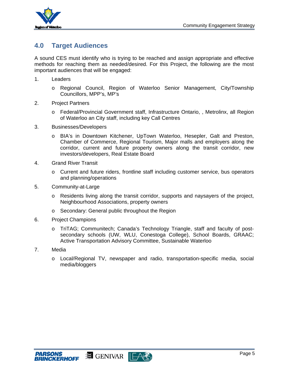

## **4.0 Target Audiences**

A sound CES must identify who is trying to be reached and assign appropriate and effective methods for reaching them as needed/desired. For this Project, the following are the most important audiences that will be engaged:

- 1. Leaders
	- o Regional Council, Region of Waterloo Senior Management, City/Township Councillors, MPP's, MP's
- 2. Project Partners
	- o Federal/Provincial Government staff, Infrastructure Ontario, , Metrolinx, all Region of Waterloo an City staff, including key Call Centres
- 3. Businesses/Developers
	- o BIA's in Downtown Kitchener, UpTown Waterloo, Hesepler, Galt and Preston, Chamber of Commerce, Regional Tourism, Major malls and employers along the corridor, current and future property owners along the transit corridor, new investors/developers, Real Estate Board
- 4. Grand River Transit
	- o Current and future riders, frontline staff including customer service, bus operators and planning/operations
- 5. Community-at-Large
	- o Residents living along the transit corridor, supports and naysayers of the project, Neighbourhood Associations, property owners
	- o Secondary: General public throughout the Region
- 6. Project Champions
	- o TriTAG; Communitech; Canada's Technology Triangle, staff and faculty of postsecondary schools (UW, WLU, Conestoga College), School Boards, GRAAC; Active Transportation Advisory Committee, Sustainable Waterloo
- 7. Media
	- o Local/Regional TV, newspaper and radio, transportation-specific media, social media/bloggers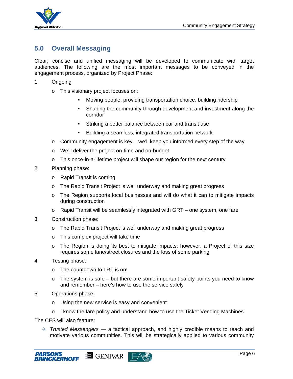

## **5.0 Overall Messaging**

Clear, concise and unified messaging will be developed to communicate with target audiences. The following are the most important messages to be conveyed in the engagement process, organized by Project Phase:

- 1. Ongoing
	- o This visionary project focuses on:
		- Moving people, providing transportation choice, building ridership
		- Shaping the community through development and investment along the corridor
		- **Striking a better balance between car and transit use**
		- Building a seamless, integrated transportation network
	- o Community engagement is key we'll keep you informed every step of the way
	- o We'll deliver the project on-time and on-budget
	- $\circ$  This once-in-a-lifetime project will shape our region for the next century
- 2. Planning phase:
	- o Rapid Transit is coming
	- o The Rapid Transit Project is well underway and making great progress
	- o The Region supports local businesses and will do what it can to mitigate impacts during construction
	- o Rapid Transit will be seamlessly integrated with GRT one system, one fare
- 3. Construction phase:
	- o The Rapid Transit Project is well underway and making great progress
	- o This complex project will take time
	- o The Region is doing its best to mitigate impacts; however, a Project of this size requires some lane/street closures and the loss of some parking
- 4. Testing phase:
	- o The countdown to LRT is on!
	- $\circ$  The system is safe but there are some important safety points you need to know and remember – here's how to use the service safely
- 5. Operations phase:
	- o Using the new service is easy and convenient
	- $\circ$  I know the fare policy and understand how to use the Ticket Vending Machines

The CES will also feature:

 $\rightarrow$  *Trusted Messengers* — a tactical approach, and highly credible means to reach and motivate various communities. This will be strategically applied to various community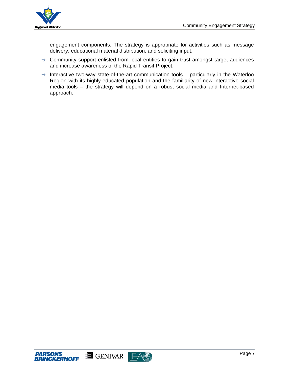

engagement components. The strategy is appropriate for activities such as message delivery, educational material distribution, and soliciting input.

- $\rightarrow$  Community support enlisted from local entities to gain trust amongst target audiences and increase awareness of the Rapid Transit Project.
- $\rightarrow$  Interactive two-way state-of-the-art communication tools particularly in the Waterloo Region with its highly-educated population and the familiarity of new interactive social media tools – the strategy will depend on a robust social media and Internet-based approach.

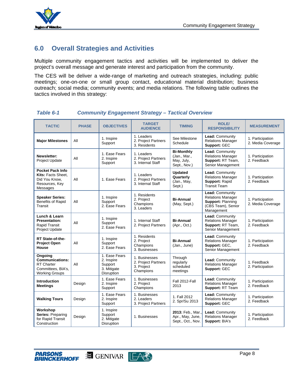

## **6.0 Overall Strategies and Activities**

Multiple community engagement tactics and activities will be implemented to deliver the project's overall message and generate interest and participation from the community.

The CES will be deliver a wide-range of marketing and outreach strategies, including: public meetings; one-on-one or small group contact, educational material distribution; business outreach; social media; community events; and media relations. The following table outlines the tactics involved in this strategy:

#### *Table 6-1 Community Engagement Strategy – Tactical Overview*

| <b>TACTIC</b>                                                                                         | <b>PHASE</b> | <b>OBJECTIVES</b>                                                   | <b>TARGET</b><br><b>AUDIENCE</b>                                | <b>TIMING</b>                                                   | <b>ROLE/</b><br><b>RESPONSIBILITY</b>                                                                       | <b>MEASUREMENT</b>                    |
|-------------------------------------------------------------------------------------------------------|--------------|---------------------------------------------------------------------|-----------------------------------------------------------------|-----------------------------------------------------------------|-------------------------------------------------------------------------------------------------------------|---------------------------------------|
| <b>Major Milestones</b>                                                                               | All          | 1. Inspire<br>Support                                               | 1. Leaders<br>2. Project Partners<br>3. Residents               | See Milestone<br>Schedule                                       | <b>Lead: Community</b><br><b>Relations Manager</b><br>Support: GEC                                          | 1. Participation<br>2. Media Coverage |
| Newsletter:<br><b>Project Update</b>                                                                  | All          | 1. Ease Fears<br>2. Inspire<br>Support                              | 1. Leaders<br>2. Project Partners<br>3. Internal Staff          | <b>Bi-Monthly</b><br>(Jan., Mar.,<br>May, July,<br>Sept., Nov.) | Lead: Community<br><b>Relations Manager</b><br>Support: RT Team,<br>Senior Management                       | 1. Participation<br>2. Feedback       |
| <b>Pocket Pack Info</b><br>Kits: Facts Sheet,<br>Did You Know.<br>Resources, Key<br>Messages          | All          | 1. Ease Fears                                                       | 1. Leaders<br>2. Project Partners<br>3. Internal Staff          | <b>Updated</b><br>Quarterly<br>(Jan., May,<br>Sept.)            | Lead: Community<br><b>Relations Manager</b><br>Support: Rapid<br><b>Transit Team</b>                        | 1. Participation<br>2. Feedback       |
| <b>Speaker Series:</b><br><b>Benefits of Rapid</b><br>Transit                                         | All          | 1. Inspire<br>Support<br>2. Ease Fears                              | 1. Residents<br>2. Project<br>Champions<br>3. Leaders           | <b>Bi-Annual</b><br>(May, Sept.)                                | Lead: Community<br><b>Relations Manager</b><br><b>Support: Planning</b><br>(CBS Team), Senior<br>Management | 1. Participation<br>2. Media Coverage |
| Lunch & Learn<br><b>Presentation:</b><br>Rapid Transit<br><b>Project Update</b>                       | All          | 1. Inspire<br>Support<br>2. Ease Fears                              | 1. Internal Staff<br>2. Project Partners                        | <b>Bi-Annual</b><br>(Apr., Oct.)                                | Lead: Community<br><b>Relations Manager</b><br>Support: RT Team,<br>Senior Management                       | 1. Participation<br>2. Feedback       |
| RT State-of-the-<br><b>Project Open</b><br><b>House</b>                                               | All          | 1. Inspire<br>Support<br>2. Ease Fears                              | 1. Residents<br>2. Project<br>Champions<br>3. Businesses        | <b>Bi-Annual</b><br>(Jan., June)                                | <b>Lead: Community</b><br><b>Relations Manager</b><br>Support: GEC.<br>Senior Management                    | 1. Participation<br>2. Feedback       |
| Ongoing<br><b>Communications:</b><br><b>RT</b> Charter<br>Committees, BIA's,<br><b>Working Groups</b> | All          | 1. Ease Fears<br>2. Inspire<br>Support<br>3. Mitigate<br>Disruption | 1. Businesses<br>2. Project Partners<br>3. Project<br>Champions | Through<br>regularly<br>scheduled<br>meetings                   | Lead: Community<br><b>Relations Manager</b><br>Support: GEC                                                 | 1. Feedback<br>2. Participation       |
| <b>Introduction</b><br><b>Meetings</b>                                                                | Design       | 1. Ease Fears<br>2. Inspire<br>Support                              | 1. Businesses<br>2. Project<br>Champions                        | Fall 2012-Fall<br>2013                                          | Lead: Community<br><b>Relations Manager</b><br>Support: RT Team                                             | 1. Participation<br>2. Feedback       |
| <b>Walking Tours</b>                                                                                  | Design       | 1. Ease Fears<br>2. Inspire<br>Support                              | 1. Businesses<br>2. Leaders<br>3. Project Partners              | 1. Fall 2012<br>2. Spr/Su 2013                                  | <b>Lead: Community</b><br><b>Relations Manager</b><br>Support: GEC                                          | 1. Participation<br>2. Feedback       |
| Workshop<br>Series: Preparing<br>for Rapid Transit<br>Construction                                    | Design       | 1. Inspire<br>Support<br>2. Mitigate<br>Disruption                  | 1. Businesses                                                   | 2013: Feb., Mar.,<br>Apr., May, June,<br>Sept., Oct., Nov.      | Lead: Community<br><b>Relations Manager</b><br>Support: BIA's                                               | 1. Participation<br>2. Feedback       |



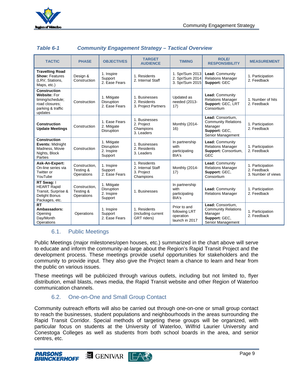

| Table 6-1 | <b>Community Engagement Strategy - Tactical Overview</b> |  |  |
|-----------|----------------------------------------------------------|--|--|
|           |                                                          |  |  |

| <b>TACTIC</b>                                                                                                    | <b>PHASE</b>                             | <b>OBJECTIVES</b>                                         | <b>TARGET</b><br><b>AUDIENCE</b>                             | <b>TIMING</b>                                                | <b>ROLE/</b><br><b>RESPONSIBILITY</b>                                                            | <b>MEASUREMENT</b>                                    |
|------------------------------------------------------------------------------------------------------------------|------------------------------------------|-----------------------------------------------------------|--------------------------------------------------------------|--------------------------------------------------------------|--------------------------------------------------------------------------------------------------|-------------------------------------------------------|
| <b>Travelling Road</b><br><b>Show: Features</b><br>(LRV, Stations,<br>Maps, etc.)                                | Design &<br>Construction                 | 1. Inspire<br>Support<br>2. Ease Fears                    | 1. Residents<br>2. Internal Staff                            | 1. Spr/Sum 2013<br>2. Spr/Sum 2014<br>3. Spr/Sum 2015        | Lead: Community<br><b>Relations Manager</b><br>Support: GEC                                      | 1. Participation<br>2. Feedback                       |
| <b>Construction</b><br><b>Website: For</b><br>timing/schedule;<br>road closures:<br>parking & traffic<br>updates | Construction                             | 1. Mitigate<br><b>Disruption</b><br>2. Ease Fears         | 1. Businesses<br>2. Residents<br>3. Project Partners         | Updated as<br>needed (2013-<br>17)                           | Lead: Community<br><b>Relations Manager</b><br>Support: GEC, LRT<br>Consortium                   | 1. Number of hits<br>2. Feedback                      |
| <b>Construction</b><br><b>Update Meetings</b>                                                                    | Construction                             | 1. Ease Fears<br>2. Mitigate<br>Disruption                | 1. Businesses<br>2. Project<br>Champions<br>3. Leaders       | Monthly (2014-<br>16)                                        | Lead: Consortium,<br><b>Community Relations</b><br>Manager<br>Support: GEC,<br>Senior Management | 1. Participation<br>2. Feedback                       |
| <b>Construction</b><br><b>Events: Midnight</b><br>Madness, Movie<br>Nights, Block<br>Parties                     | Construction                             | 1. Mitigate<br><b>Disruption</b><br>2. Inspire<br>Support | 1. Businesses<br>2. Residents<br>3. Leaders                  | In partnership<br>with<br>participating<br>BIA's             | Lead: Community<br><b>Relations Manager</b><br>Support: Consortium,<br><b>GEC</b>                | 1. Participation<br>2. Feedback                       |
| Ask-An-Expert:<br>On-line series via<br>Twitter or<br>YouTube                                                    | Construction.<br>Testing &<br>Operations | 1. Inspire<br>Support<br>2. Ease Fears                    | 1. Residents<br>2. Internal Staff<br>3. Project<br>Champions | Monthly (2014-<br>17)                                        | Lead: Community<br><b>Relations Manager</b><br>Support: GEC,<br>Consortium                       | 1. Participation<br>2. Feedback<br>3. Number of views |
| RT Swag: I<br><b>HEART Rapid</b><br>Transit, Surprise &<br><b>Delight Bonus</b><br>Packages, etc.                | Construction.<br>Testing &<br>Operations | 1. Mitigate<br>Disruption<br>2. Inspire<br>Support        | 1. Businesses                                                | In partnership<br>with<br>participating<br>BIA's             | Lead: Community<br><b>Relations Manager</b>                                                      | 1. Participation<br>2. Feedback                       |
| <b>RT</b><br>Ambassadors:<br>Opening<br>Day/Month<br>Operations                                                  | Operations                               | 1. Inspire<br>Support<br>2. Ease Fears                    | 1. Residents<br>(including current<br>GRT riders)            | Prior to and<br>following LRT<br>operation<br>launch in 2017 | Lead: Consortium,<br><b>Community Relations</b><br>Manager<br>Support: GEC,<br>Senior Management | 1. Participation<br>2. Feedback                       |

## 6.1. Public Meetings

Public Meetings (major milestones/open houses, etc.) summarized in the chart above will serve to educate and inform the community-at-large about the Region's Rapid Transit Project and the development process. These meetings provide useful opportunities for stakeholders and the community to provide input. They also give the Project team a chance to learn and hear from the public on various issues.

These meetings will be publicized through various outlets, including but not limited to, flyer distribution, email blasts, news media, the Rapid Transit website and other Region of Waterloo communication channels.

## 6.2. One-on-One and Small Group Contact

Community outreach efforts will also be carried out through one-on-one or small group contact to reach the businesses, student populations and neighbourhoods in the areas surrounding the Rapid Transit Corridor. Special methods of targeting these groups will be organized, with particular focus on students at the University of Waterloo, Wilfrid Laurier University and Conestoga Colleges as well as students from both school boards in the area, and senior centres, etc.

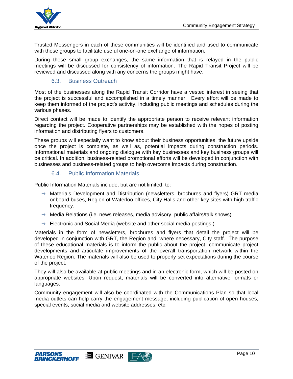

Trusted Messengers in each of these communities will be identified and used to communicate with these groups to facilitate useful one-on-one exchange of information.

During these small group exchanges, the same information that is relayed in the public meetings will be discussed for consistency of information. The Rapid Transit Project will be reviewed and discussed along with any concerns the groups might have.

## 6.3. Business Outreach

Most of the businesses along the Rapid Transit Corridor have a vested interest in seeing that the project is successful and accomplished in a timely manner. Every effort will be made to keep them informed of the project's activity, including public meetings and schedules during the various phases.

Direct contact will be made to identify the appropriate person to receive relevant information regarding the project. Cooperative partnerships may be established with the hopes of posting information and distributing flyers to customers.

These groups will especially want to know about their business opportunities, the future upside once the project is complete, as well as, potential impacts during construction periods. Informational materials and ongoing dialogue with key businesses and key business groups will be critical. In addition, business-related promotional efforts will be developed in conjunction with businesses and business-related groups to help overcome impacts during construction.

## 6.4. Public Information Materials

Public Information Materials include, but are not limited, to:

- $\rightarrow$  Materials Development and Distribution (newsletters, brochures and flyers) GRT media onboard buses, Region of Waterloo offices, City Halls and other key sites with high traffic frequency.
- $\rightarrow$  Media Relations (i.e. news releases, media advisory, public affairs/talk shows)
- $\rightarrow$  Electronic and Social Media (website and other social media postings.)

Materials in the form of newsletters, brochures and flyers that detail the project will be developed in conjunction with GRT, the Region and, where necessary, City staff. The purpose of these educational materials is to inform the public about the project, communicate project developments and articulate improvements of the overall transportation network within the Waterloo Region. The materials will also be used to properly set expectations during the course of the project.

They will also be available at public meetings and in an electronic form, which will be posted on appropriate websites. Upon request, materials will be converted into alternative formats or languages.

Community engagement will also be coordinated with the Communications Plan so that local media outlets can help carry the engagement message, including publication of open houses, special events, social media and website addresses, etc.

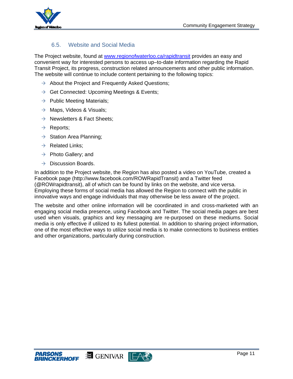

## 6.5. Website and Social Media

The Project website, found at www.regionofwaterloo.ca/rapidtransit provides an easy and convenient way for interested persons to access up–to-date information regarding the Rapid Transit Project, its progress, construction related announcements and other public information. The website will continue to include content pertaining to the following topics:

- $\rightarrow$  About the Project and Frequently Asked Questions;
- $\rightarrow$  Get Connected: Upcoming Meetings & Events;
- $\rightarrow$  Public Meeting Materials;
- $\rightarrow$  Maps, Videos & Visuals;
- $\rightarrow$  Newsletters & Fact Sheets;
- $\rightarrow$  Reports;
- $\rightarrow$  Station Area Planning;
- $\rightarrow$  Related Links:
- $\rightarrow$  Photo Gallery; and
- $\rightarrow$  Discussion Boards.

In addition to the Project website, the Region has also posted a video on YouTube, created a Facebook page (http://www.facebook.com/ROWRapidTransit) and a Twitter feed (@ROWrapidtransit), all of which can be found by links on the website, and vice versa. Employing these forms of social media has allowed the Region to connect with the public in innovative ways and engage individuals that may otherwise be less aware of the project.

The website and other online information will be coordinated in and cross-marketed with an engaging social media presence, using Facebook and Twitter. The social media pages are best used when visuals, graphics and key messaging are re-purposed on these mediums. Social media is only effective if utilized to its fullest potential. In addition to sharing project information, one of the most effective ways to utilize social media is to make connections to business entities and other organizations, particularly during construction.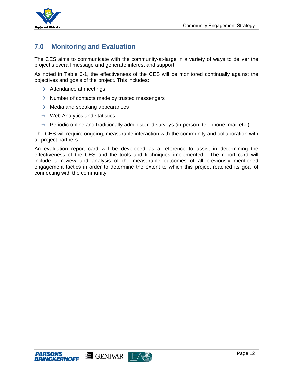

## **7.0 Monitoring and Evaluation**

The CES aims to communicate with the community-at-large in a variety of ways to deliver the project's overall message and generate interest and support.

As noted in Table 6-1, the effectiveness of the CES will be monitored continually against the objectives and goals of the project. This includes:

- $\rightarrow$  Attendance at meetings
- $\rightarrow$  Number of contacts made by trusted messengers
- $\rightarrow$  Media and speaking appearances
- $\rightarrow$  Web Analytics and statistics
- $\rightarrow$  Periodic online and traditionally administered surveys (in-person, telephone, mail etc.)

The CES will require ongoing, measurable interaction with the community and collaboration with all project partners.

An evaluation report card will be developed as a reference to assist in determining the effectiveness of the CES and the tools and techniques implemented. The report card will include a review and analysis of the measurable outcomes of all previously mentioned engagement tactics in order to determine the extent to which this project reached its goal of connecting with the community.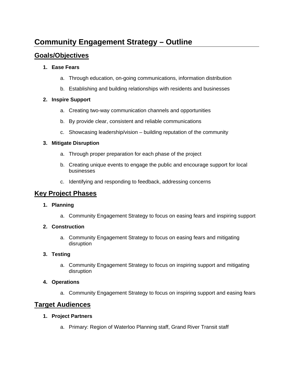## **Community Engagement Strategy – Outline**

## **Goals/Objectives**

## **1. Ease Fears**

- a. Through education, on-going communications, information distribution
- b. Establishing and building relationships with residents and businesses

## **2. Inspire Support**

- a. Creating two-way communication channels and opportunities
- b. By provide clear, consistent and reliable communications
- c. Showcasing leadership/vision building reputation of the community

## **3. Mitigate Disruption**

- a. Through proper preparation for each phase of the project
- b. Creating unique events to engage the public and encourage support for local businesses
- c. Identifying and responding to feedback, addressing concerns

## **Key Project Phases**

## **1. Planning**

a. Community Engagement Strategy to focus on easing fears and inspiring support

## **2. Construction**

a. Community Engagement Strategy to focus on easing fears and mitigating disruption

## **3. Testing**

a. Community Engagement Strategy to focus on inspiring support and mitigating disruption

## **4. Operations**

a. Community Engagement Strategy to focus on inspiring support and easing fears

## **Target Audiences**

#### **1. Project Partners**

a. Primary: Region of Waterloo Planning staff, Grand River Transit staff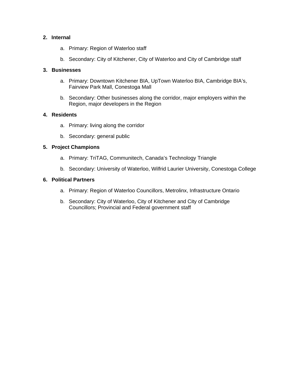#### **2. Internal**

- a. Primary: Region of Waterloo staff
- b. Secondary: City of Kitchener, City of Waterloo and City of Cambridge staff

## **3. Businesses**

- a. Primary: Downtown Kitchener BIA, UpTown Waterloo BIA, Cambridge BIA's, Fairview Park Mall, Conestoga Mall
- b. Secondary: Other businesses along the corridor, major employers within the Region, major developers in the Region

## **4. Residents**

- a. Primary: living along the corridor
- b. Secondary: general public

## **5. Project Champions**

- a. Primary: TriTAG, Communitech, Canada's Technology Triangle
- b. Secondary: University of Waterloo, Wilfrid Laurier University, Conestoga College

## **6. Political Partners**

- a. Primary: Region of Waterloo Councillors, Metrolinx, Infrastructure Ontario
- b. Secondary: City of Waterloo, City of Kitchener and City of Cambridge Councillors; Provincial and Federal government staff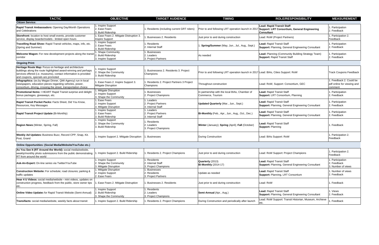| <b>TACTIC</b>                                                                                                                                                                                                                       | <b>OBJECTIVE</b>                                                      | <b>TARGET AUDIENCE</b>                                  | <b>TIMING</b>                                                                       | <b>ROLE/RESPONSIBILITY</b>                                                                     | <b>MEASUREMENT</b>                                              |
|-------------------------------------------------------------------------------------------------------------------------------------------------------------------------------------------------------------------------------------|-----------------------------------------------------------------------|---------------------------------------------------------|-------------------------------------------------------------------------------------|------------------------------------------------------------------------------------------------|-----------------------------------------------------------------|
| <b>Citizen Service:</b>                                                                                                                                                                                                             |                                                                       |                                                         |                                                                                     |                                                                                                |                                                                 |
| Rapid Transit Ambassadors: Opening Day/Month Operations<br>and Celebrations                                                                                                                                                         | 1. Inspire Support<br>2. Ease Fears<br>3. Build Ridership             | Residents (including current GRT riders)                | Prior to and following LRT operation launch in 2017                                 | Lead: Rapid Transit Staff<br>Support: LRT Consortium, General Engineering<br><b>Consultant</b> | . Participation<br>. Feedback                                   |
| Storefront: location to host small events, provide customer<br>service, display boards/models - limited open hours                                                                                                                  | . Ease Fears 2. Mitigate Distruption 3.<br>Inspire Support            | Businesses 2. Residents                                 | Just prior to and during construction                                               | Lead: RoW (Project Partners)                                                                   | . Participation 2.<br>Feedback                                  |
| Travelling Road Show: Rapid Transit vehicles, maps, info, etc.<br>(Spring and Summer)                                                                                                                                               | . Inspire Support<br>2. Ease Fears<br>3. Build Ridership              | . Residents<br>2. Internal Staff                        | Spring/Summer (May, Jun., Jul., Aug., Sept.)                                        | Lead: Rapid Transit Staff<br><b>Support: Planning, General Engineering Consultant</b>          | . Participation<br>. Feedback                                   |
| Welcome Wagon: For new development projects along the transit<br>corridor                                                                                                                                                           | . Shape Community<br>2. Build Ridership<br>3. Inspire Support         | . Businesses<br>2. Leaders<br>3. Project Partners       | As needed                                                                           | Lead: Planning (Community Building Strategy Team)<br><b>Support: Rapid Transit Staff</b>       | . Participation<br>2. Feedback                                  |
| <b>Ongoing Print:</b>                                                                                                                                                                                                               |                                                                       |                                                         |                                                                                     |                                                                                                |                                                                 |
| Heritage Route Map: Focus on heritage and architecture<br>buildings along the route highlighted award-winning and perhaps<br>services offered (i.e. museums), contact information is provided<br>and coupons, specials are promoted | . Inspire Support<br>2. Shape the Community<br>3. Build Ridership     | Businessess 2. Residents 3. Project<br>Champions        | Prior to and following LRT operation launch in 2017 Lead: BIAs, Cities Support: RoW |                                                                                                | <b>Track Coupons Feedback</b>                                   |
| Infographics: (ex.by Megan Dinner, QMI Agency) run in local<br>newspapers, education pieces regarding vehicles, power,<br>consortium, driving, crossing the street, transportation choice                                           | . Ease Fears 2. Inspire Support 3.<br>Mitigate Disruption             | Residents 2. Project Partners 3 Project<br>Champions    | Throughout construction                                                             | Lead: RoW, Support: Consortium, GEC                                                            | . Feedback 2. Could be<br>pdf online for viewing and<br>comment |
| <b>Promotional Items: I HEART Rapid Transit surprise and delight</b><br>bonus packages, giveaways, etc.                                                                                                                             | . Mitigate Disruption<br>2. Inspire Support<br>3. Shape the Community | . Businesses<br>2. Project Champions                    | n partnership with the local BIAs, Chamber of<br>Commerce, Tourism                  | Lead: Rapid Transit Staff<br>Support: LRT Consortium, Planning                                 | . Participation<br>2. Feedback                                  |
| Rapid Transit Pocket Packs: Facts Sheet, Did You Know,<br>Resources, Key Messages                                                                                                                                                   | . Ease Fears<br>2. Inspire Support<br>3. Mitigate Disruption          | I. Leaders<br>2. Project Partners<br>3. Internal Staff  | Updated Quarterly (Mar., Jun., Sept.)                                               | Lead: Rapid Transit Staff<br><b>Support: Planning, General Engineering Consultant</b>          | . Participation<br>. Feedback                                   |
| Rapid Transit Project Update (Bi-Monthly)                                                                                                                                                                                           | 1. Inspire Support<br>2. Ease Fears<br><b>B.</b> Build Ridership      | I. Leaders<br>2. Project Partners<br>3. Internal Staff  | Bi-Monthly (Feb., Apr., Jun., Aug., Oct., Dec.)                                     | Lead: Rapid Transit Staff<br>Support: Planning, General Engineering Consultant                 | . Participation<br>. Feedback                                   |
| Region News (Winter, Spring, Fall)                                                                                                                                                                                                  | . Inspire Support<br>2. Shape the Community<br>3. Build Ridership     | Residents<br>2. Leaders<br>. Project Champions          | Winter (January); Spring (April); Fall (October)                                    | Lead: Rapid Transit Staff<br><b>Support: Planning</b>                                          | . Feedback                                                      |
| <b>Weekly Ad Updates: Business Buzz, Record CPP, Snap, Kit.</b><br>Post, Grand                                                                                                                                                      | . Inspire Support 2. Mitigate Disruption                              | . Businesses                                            | <b>During Construction</b>                                                          | Lead: BIAs Support: RoW                                                                        | . Participation 2.<br>Feedback                                  |
| Online Opportunities: (Social Media/Website/YouTube etc.)                                                                                                                                                                           |                                                                       |                                                         |                                                                                     |                                                                                                |                                                                 |
| As You See It (RT Around the World): social media/website,<br>weekly/monthly photo submissions from the public demonstrating 1. Inspire Support 2. Build Ridership<br>RT from around the world                                      |                                                                       | Residents 2. Project Champions                          | Just prior to and during construction                                               | Lead: RoW Support: Project Champions                                                           | . Participation 2.<br>Feedback                                  |
| Ask-An-Expert: On-line series via Twitter/YouTube                                                                                                                                                                                   | . Inspire Support<br>2. Shape the Community<br>3. Mitigate Disruption | . Residents<br>2. Internal Staff<br>. Project Champions | Quarterly (2013)<br><b>Bi-Monthly (2014-17)</b>                                     | Lead: Rapid Transit Staff<br><b>Support: Planning, General Engineering Consultant</b>          | . Participation<br>2. Feedback<br>3. Number of views            |
| <b>Construction Website:</b> For schedule; road closures; parking &<br>traffic updates                                                                                                                                              | . Mitigate Disruption<br>2. Inspire Support<br>2. Ease Fears          | . Businesses<br>. Residents<br>3. Project Partners      | Update as needed                                                                    | Lead: Rapid Transit Staff<br>Support: Planning, LRT Consortium                                 | . Number of views<br>. Feedback                                 |
| Hear 4 U Videos: social media/website - mini videos, updates on<br>construction progress, feedback from the public, store owner tips<br>etc.                                                                                        | . Ease Fears 2. Mitigate Distruption                                  | Businesses 2. Residents                                 | Just prior to and during construction                                               | Lead: RoW                                                                                      | . Feedback                                                      |
| <b>Online Video Updates for Rapid Transit Website (Semi-Annual)</b>                                                                                                                                                                 | 1. Inspire Support<br>2. Build Ridership<br>3. Shape the Community    | . Residents<br>2. Leaders<br>. Project Champions        | Semi-Annual (Apr., Aug.)                                                            | Lead: Rapid Transit Staff<br><b>Support: Planning, General Engineering Consultant</b>          | . Views<br>. Feedback                                           |
| Transifacts: social media/website, weekly facts about transit                                                                                                                                                                       | 1. Inspire Support 2. Build Ridership                                 | Residents 2. Project Champions                          | During Construction and periodically after launch                                   | Lead: RoW Support: Transit Historian, Museum, Archieve<br>etc.                                 | . Feedback                                                      |